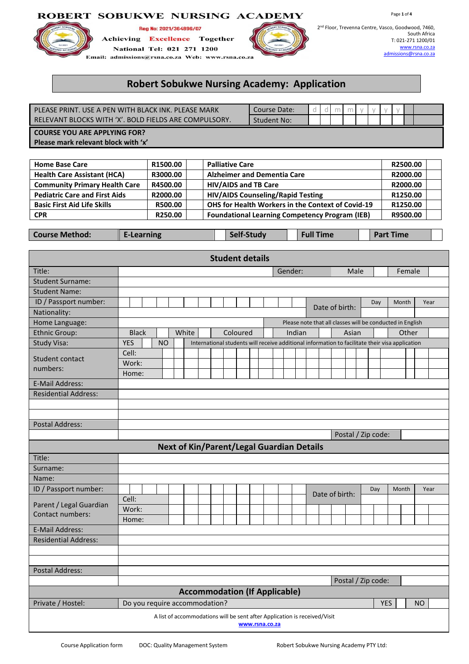## ROBERT SOBUKWE NURSING ACADEMY



## Reg No: 2021/364896/07

**Achieving Excellence** Together National Tel: 021 271 1200 Email: admissions@rsna.co.za Web: www.rsna.co.za



Page **1** of **4**

# **Robert Sobukwe Nursing Academy: Application**

| PLEASE PRINT. USE A PEN WITH BLACK INK. PLEASE MARK   | Course Date: |  |  |  |  |  |
|-------------------------------------------------------|--------------|--|--|--|--|--|
| RELEVANT BLOCKS WITH 'X'. BOLD FIELDS ARE COMPULSORY. | Student No:  |  |  |  |  |  |
| <b>COURSE YOU ARE APPLYING FOR?</b>                   |              |  |  |  |  |  |
| Please mark relevant block with 'x'                   |              |  |  |  |  |  |

| <b>Home Base Care</b>                | R1500.00 | <b>Palliative Care</b>                                | R2500.00 |  |
|--------------------------------------|----------|-------------------------------------------------------|----------|--|
| <b>Health Care Assistant (HCA)</b>   | R3000.00 | <b>Alzheimer and Dementia Care</b>                    | R2000.00 |  |
| <b>Community Primary Health Care</b> | R4500.00 | <b>HIV/AIDS and TB Care</b>                           | R2000.00 |  |
| <b>Pediatric Care and First Aids</b> | R2000.00 | <b>HIV/AIDS Counseling/Rapid Testing</b>              | R1250.00 |  |
| <b>Basic First Aid Life Skills</b>   | R500.00  | OHS for Health Workers in the Context of Covid-19     | R1250.00 |  |
| <b>CPR</b>                           | R250.00  | <b>Foundational Learning Competency Program (IEB)</b> | R9500.00 |  |

**Course** Method: **E-Learning Self-Study Full Time Part Time** 

| <b>Student details</b>                                                                      |            |                                                                                                              |  |  |  |                               |  |  |  |  |  |  |  |         |  |                |      |     |            |       |        |      |  |
|---------------------------------------------------------------------------------------------|------------|--------------------------------------------------------------------------------------------------------------|--|--|--|-------------------------------|--|--|--|--|--|--|--|---------|--|----------------|------|-----|------------|-------|--------|------|--|
| Title:                                                                                      |            |                                                                                                              |  |  |  |                               |  |  |  |  |  |  |  | Gender: |  |                | Male |     |            |       | Female |      |  |
| <b>Student Surname:</b>                                                                     |            |                                                                                                              |  |  |  |                               |  |  |  |  |  |  |  |         |  |                |      |     |            |       |        |      |  |
| <b>Student Name:</b>                                                                        |            |                                                                                                              |  |  |  |                               |  |  |  |  |  |  |  |         |  |                |      |     |            |       |        |      |  |
| ID / Passport number:                                                                       |            |                                                                                                              |  |  |  |                               |  |  |  |  |  |  |  |         |  | Date of birth: |      | Day |            | Month |        | Year |  |
| Nationality:                                                                                |            |                                                                                                              |  |  |  |                               |  |  |  |  |  |  |  |         |  |                |      |     |            |       |        |      |  |
| Home Language:                                                                              |            | Please note that all classes will be conducted in English                                                    |  |  |  |                               |  |  |  |  |  |  |  |         |  |                |      |     |            |       |        |      |  |
| <b>Ethnic Group:</b>                                                                        |            | Coloured<br><b>Black</b><br>White<br>Indian<br>Asian<br>Other                                                |  |  |  |                               |  |  |  |  |  |  |  |         |  |                |      |     |            |       |        |      |  |
| Study Visa:                                                                                 | <b>YES</b> | <b>NO</b><br>International students will receive additional information to facilitate their visa application |  |  |  |                               |  |  |  |  |  |  |  |         |  |                |      |     |            |       |        |      |  |
| Student contact                                                                             | Cell:      |                                                                                                              |  |  |  |                               |  |  |  |  |  |  |  |         |  |                |      |     |            |       |        |      |  |
| numbers:                                                                                    | Work:      |                                                                                                              |  |  |  |                               |  |  |  |  |  |  |  |         |  |                |      |     |            |       |        |      |  |
|                                                                                             | Home:      |                                                                                                              |  |  |  |                               |  |  |  |  |  |  |  |         |  |                |      |     |            |       |        |      |  |
| <b>E-Mail Address:</b>                                                                      |            |                                                                                                              |  |  |  |                               |  |  |  |  |  |  |  |         |  |                |      |     |            |       |        |      |  |
| <b>Residential Address:</b>                                                                 |            |                                                                                                              |  |  |  |                               |  |  |  |  |  |  |  |         |  |                |      |     |            |       |        |      |  |
|                                                                                             |            |                                                                                                              |  |  |  |                               |  |  |  |  |  |  |  |         |  |                |      |     |            |       |        |      |  |
|                                                                                             |            |                                                                                                              |  |  |  |                               |  |  |  |  |  |  |  |         |  |                |      |     |            |       |        |      |  |
| <b>Postal Address:</b>                                                                      |            |                                                                                                              |  |  |  |                               |  |  |  |  |  |  |  |         |  |                |      |     |            |       |        |      |  |
| Postal / Zip code:                                                                          |            |                                                                                                              |  |  |  |                               |  |  |  |  |  |  |  |         |  |                |      |     |            |       |        |      |  |
| <b>Next of Kin/Parent/Legal Guardian Details</b>                                            |            |                                                                                                              |  |  |  |                               |  |  |  |  |  |  |  |         |  |                |      |     |            |       |        |      |  |
| Title:                                                                                      |            |                                                                                                              |  |  |  |                               |  |  |  |  |  |  |  |         |  |                |      |     |            |       |        |      |  |
| Surname:                                                                                    |            |                                                                                                              |  |  |  |                               |  |  |  |  |  |  |  |         |  |                |      |     |            |       |        |      |  |
| Name:                                                                                       |            |                                                                                                              |  |  |  |                               |  |  |  |  |  |  |  |         |  |                |      |     |            |       |        |      |  |
| ID / Passport number:                                                                       |            |                                                                                                              |  |  |  |                               |  |  |  |  |  |  |  |         |  | Date of birth: |      | Day |            | Month |        | Year |  |
| Parent / Legal Guardian                                                                     | Cell:      |                                                                                                              |  |  |  |                               |  |  |  |  |  |  |  |         |  |                |      |     |            |       |        |      |  |
| Contact numbers:                                                                            | Work:      |                                                                                                              |  |  |  |                               |  |  |  |  |  |  |  |         |  |                |      |     |            |       |        |      |  |
|                                                                                             | Home:      |                                                                                                              |  |  |  |                               |  |  |  |  |  |  |  |         |  |                |      |     |            |       |        |      |  |
| <b>E-Mail Address:</b>                                                                      |            |                                                                                                              |  |  |  |                               |  |  |  |  |  |  |  |         |  |                |      |     |            |       |        |      |  |
| <b>Residential Address:</b>                                                                 |            |                                                                                                              |  |  |  |                               |  |  |  |  |  |  |  |         |  |                |      |     |            |       |        |      |  |
|                                                                                             |            |                                                                                                              |  |  |  |                               |  |  |  |  |  |  |  |         |  |                |      |     |            |       |        |      |  |
|                                                                                             |            |                                                                                                              |  |  |  |                               |  |  |  |  |  |  |  |         |  |                |      |     |            |       |        |      |  |
| <b>Postal Address:</b>                                                                      |            |                                                                                                              |  |  |  |                               |  |  |  |  |  |  |  |         |  |                |      |     |            |       |        |      |  |
| Postal / Zip code:                                                                          |            |                                                                                                              |  |  |  |                               |  |  |  |  |  |  |  |         |  |                |      |     |            |       |        |      |  |
| <b>Accommodation (If Applicable)</b>                                                        |            |                                                                                                              |  |  |  |                               |  |  |  |  |  |  |  |         |  |                |      |     |            |       |        |      |  |
| Private / Hostel:                                                                           |            |                                                                                                              |  |  |  | Do you require accommodation? |  |  |  |  |  |  |  |         |  |                |      |     | <b>YES</b> |       |        | NO   |  |
| A list of accommodations will be sent after Application is received/Visit<br>www.rsna.co.za |            |                                                                                                              |  |  |  |                               |  |  |  |  |  |  |  |         |  |                |      |     |            |       |        |      |  |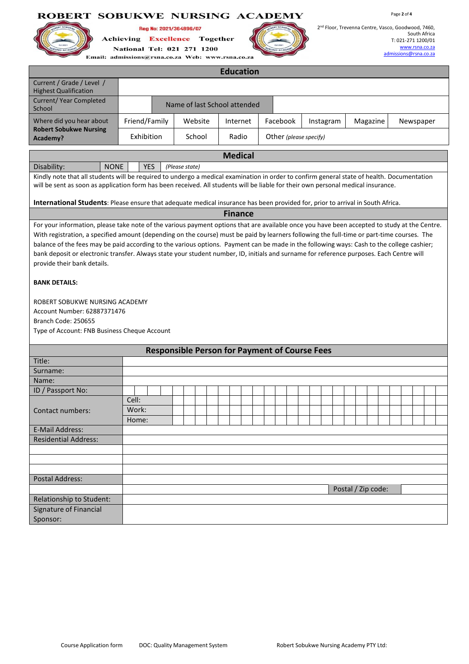## ROBERT SOBUKWE NURSING ACADEMY



Reg No: 2021/364896/07 **Achieving Excellence** Together National Tel: 021 271 1200

Page **2** of **4**

| <b>Education</b>                                          |               |  |                              |          |  |                        |           |          |           |  |  |  |
|-----------------------------------------------------------|---------------|--|------------------------------|----------|--|------------------------|-----------|----------|-----------|--|--|--|
| Current / Grade / Level /<br><b>Highest Qualification</b> |               |  |                              |          |  |                        |           |          |           |  |  |  |
| Current/Year Completed<br>School                          |               |  | Name of last School attended |          |  |                        |           |          |           |  |  |  |
| Where did you hear about                                  | Friend/Family |  | Website                      | Internet |  | Facebook               | Instagram | Magazine | Newspaper |  |  |  |
| <b>Robert Sobukwe Nursing</b><br>Academy?                 | Exhibition    |  | School                       | Radio    |  | Other (please specify) |           |          |           |  |  |  |

**Medical**

| <b>NONE</b><br>Disability:<br><b>YES</b><br>(Please state) |  |  |
|------------------------------------------------------------|--|--|
|                                                            |  |  |

Kindly note that all students will be required to undergo a medical examination in order to confirm general state of health. Documentation will be sent as soon as application form has been received. All students will be liable for their own personal medical insurance.

**International Students**: Please ensure that adequate medical insurance has been provided for, prior to arrival in South Africa.

#### **Finance**

For your information, please take note of the various payment options that are available once you have been accepted to study at the Centre. With registration, a specified amount (depending on the course) must be paid by learners following the full-time or part-time courses. The balance of the fees may be paid according to the various options. Payment can be made in the following ways: Cash to the college cashier; bank deposit or electronic transfer. Always state your student number, ID, initials and surname for reference purposes. Each Centre will provide their bank details.

## **BANK DETAILS:**

ROBERT SOBUKWE NURSING ACADEMY Account Number: 62887371476 Branch Code: 250655 Type of Account: FNB Business Cheque Account

| <b>Responsible Person for Payment of Course Fees</b> |       |                    |  |  |  |  |  |  |  |  |
|------------------------------------------------------|-------|--------------------|--|--|--|--|--|--|--|--|
| Title:                                               |       |                    |  |  |  |  |  |  |  |  |
| Surname:                                             |       |                    |  |  |  |  |  |  |  |  |
| Name:                                                |       |                    |  |  |  |  |  |  |  |  |
| ID / Passport No:                                    |       |                    |  |  |  |  |  |  |  |  |
|                                                      | Cell: |                    |  |  |  |  |  |  |  |  |
| Contact numbers:                                     | Work: |                    |  |  |  |  |  |  |  |  |
|                                                      | Home: |                    |  |  |  |  |  |  |  |  |
| E-Mail Address:                                      |       |                    |  |  |  |  |  |  |  |  |
| <b>Residential Address:</b>                          |       |                    |  |  |  |  |  |  |  |  |
|                                                      |       |                    |  |  |  |  |  |  |  |  |
|                                                      |       |                    |  |  |  |  |  |  |  |  |
|                                                      |       |                    |  |  |  |  |  |  |  |  |
| <b>Postal Address:</b>                               |       |                    |  |  |  |  |  |  |  |  |
|                                                      |       | Postal / Zip code: |  |  |  |  |  |  |  |  |
| Relationship to Student:                             |       |                    |  |  |  |  |  |  |  |  |
| Signature of Financial                               |       |                    |  |  |  |  |  |  |  |  |
| Sponsor:                                             |       |                    |  |  |  |  |  |  |  |  |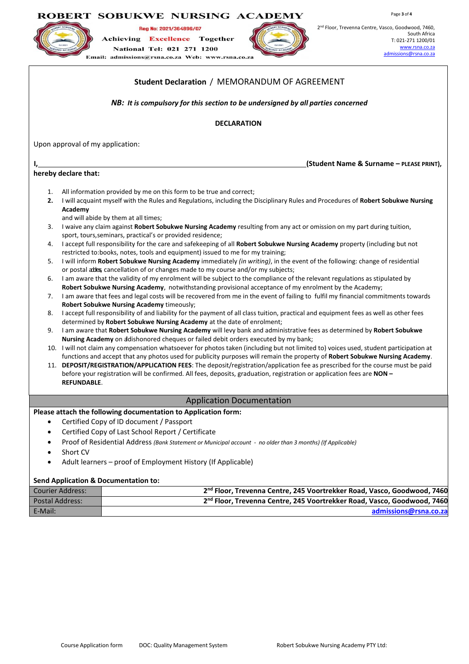